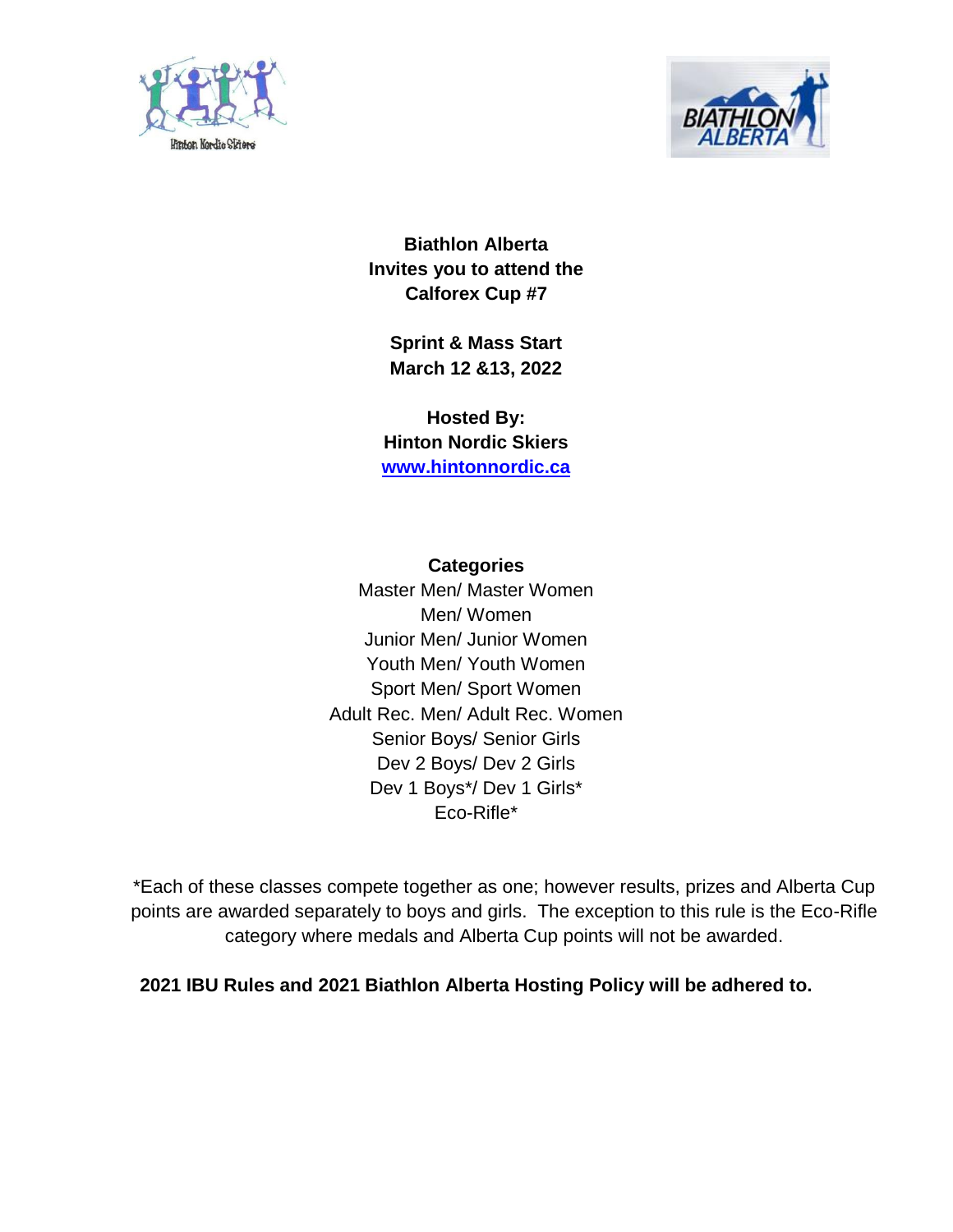



**Biathlon Alberta Invites you to attend the Calforex Cup #7**

**Sprint & Mass Start March 12 &13, 2022**

**Hosted By: Hinton Nordic Skiers [www.hintonnordic.ca](http://www.hintonnordic.ca/)**

**Categories** Master Men/ Master Women Men/ Women Junior Men/ Junior Women Youth Men/ Youth Women Sport Men/ Sport Women Adult Rec. Men/ Adult Rec. Women Senior Boys/ Senior Girls Dev 2 Boys/ Dev 2 Girls Dev 1 Boys\*/ Dev 1 Girls\* Eco-Rifle\*

\*Each of these classes compete together as one; however results, prizes and Alberta Cup points are awarded separately to boys and girls. The exception to this rule is the Eco-Rifle category where medals and Alberta Cup points will not be awarded.

**2021 IBU Rules and 2021 Biathlon Alberta Hosting Policy will be adhered to.**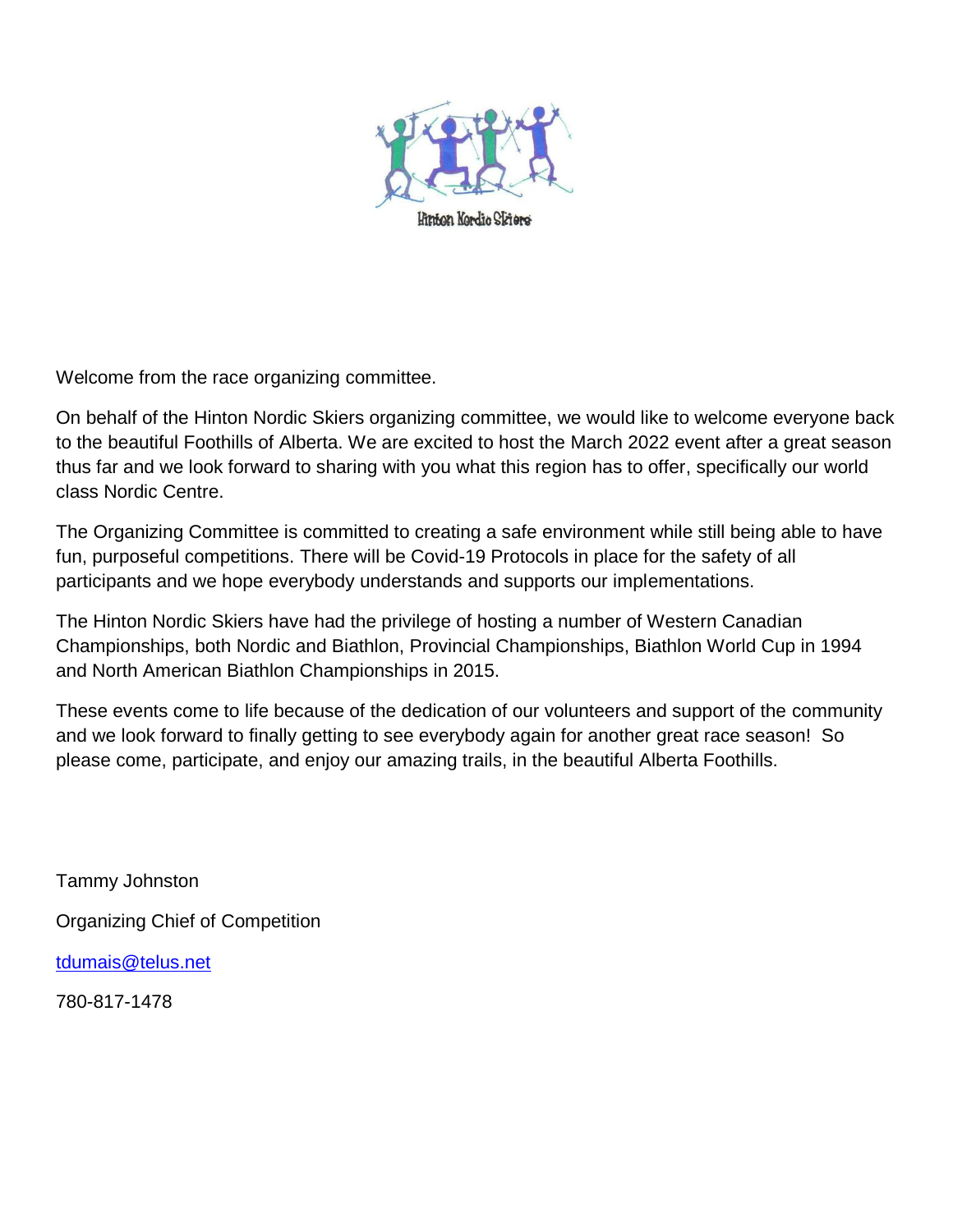

Welcome from the race organizing committee.

On behalf of the Hinton Nordic Skiers organizing committee, we would like to welcome everyone back to the beautiful Foothills of Alberta. We are excited to host the March 2022 event after a great season thus far and we look forward to sharing with you what this region has to offer, specifically our world class Nordic Centre.

The Organizing Committee is committed to creating a safe environment while still being able to have fun, purposeful competitions. There will be Covid-19 Protocols in place for the safety of all participants and we hope everybody understands and supports our implementations.

The Hinton Nordic Skiers have had the privilege of hosting a number of Western Canadian Championships, both Nordic and Biathlon, Provincial Championships, Biathlon World Cup in 1994 and North American Biathlon Championships in 2015.

These events come to life because of the dedication of our volunteers and support of the community and we look forward to finally getting to see everybody again for another great race season! So please come, participate, and enjoy our amazing trails, in the beautiful Alberta Foothills.

Tammy Johnston Organizing Chief of Competition [tdumais@telus.net](mailto:tdumais@telus.net)

780-817-1478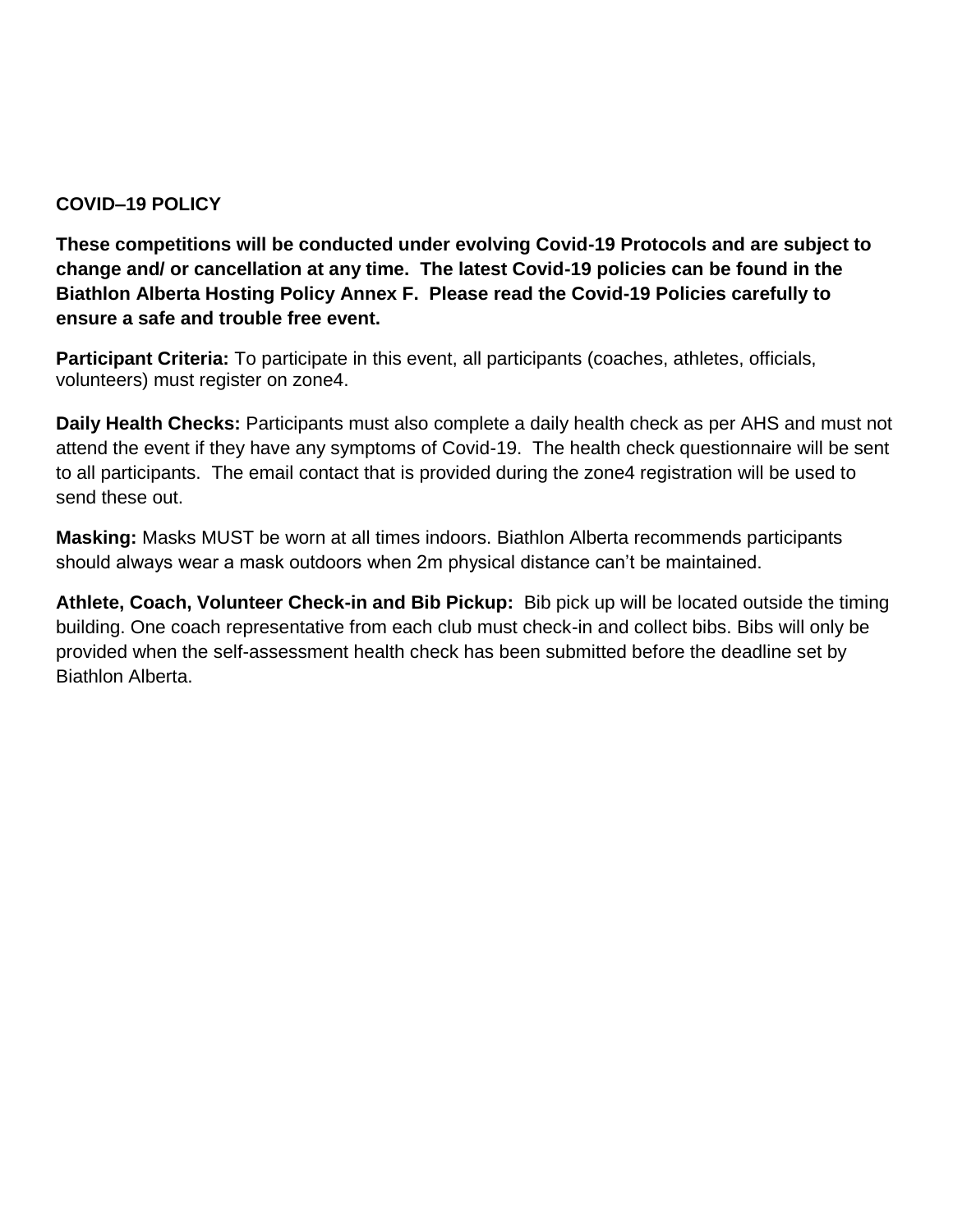## **COVID–19 POLICY**

**These competitions will be conducted under evolving Covid-19 Protocols and are subject to change and/ or cancellation at any time. The latest Covid-19 policies can be found in the Biathlon Alberta Hosting Policy Annex F. Please read the Covid-19 Policies carefully to ensure a safe and trouble free event.**

**Participant Criteria:** To participate in this event, all participants (coaches, athletes, officials, volunteers) must register on zone4.

**Daily Health Checks:** Participants must also complete a daily health check as per AHS and must not attend the event if they have any symptoms of Covid-19. The health check questionnaire will be sent to all participants. The email contact that is provided during the zone4 registration will be used to send these out.

**Masking:** Masks MUST be worn at all times indoors. Biathlon Alberta recommends participants should always wear a mask outdoors when 2m physical distance can't be maintained.

**Athlete, Coach, Volunteer Check-in and Bib Pickup:** Bib pick up will be located outside the timing building. One coach representative from each club must check-in and collect bibs. Bibs will only be provided when the self-assessment health check has been submitted before the deadline set by Biathlon Alberta.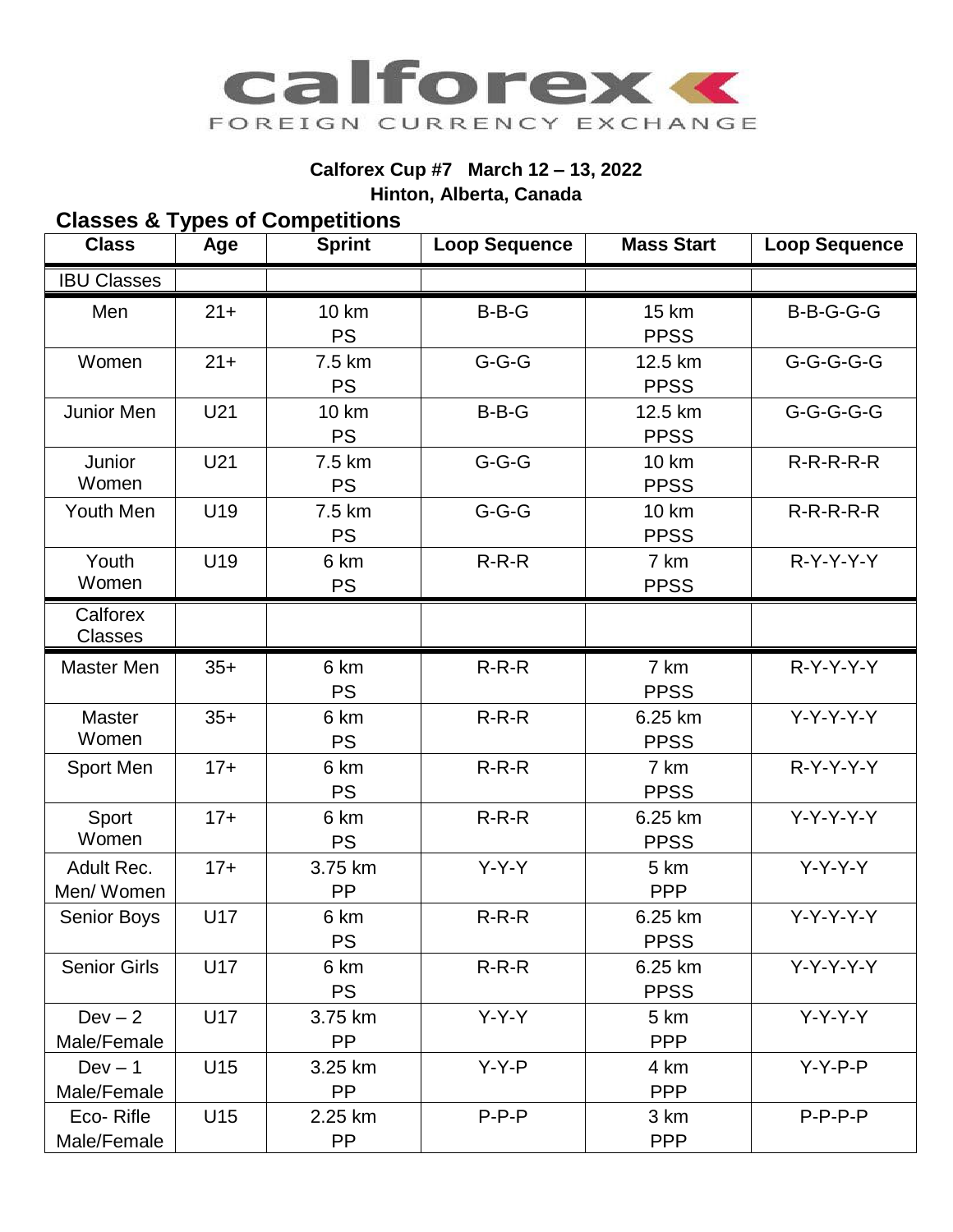

## **Calforex Cup #7 March 12 – 13, 2022 Hinton, Alberta, Canada**

## **Classes & Types of Competitions**

| <b>Class</b>               | Age    | <b>Sprint</b>             | <b>Loop Sequence</b> | <b>Mass Start</b>           | <b>Loop Sequence</b> |
|----------------------------|--------|---------------------------|----------------------|-----------------------------|----------------------|
| <b>IBU Classes</b>         |        |                           |                      |                             |                      |
| Men                        | $21 +$ | <b>10 km</b><br><b>PS</b> | $B-B-G$              | <b>15 km</b><br><b>PPSS</b> | B-B-G-G-G            |
| Women                      | $21 +$ | 7.5 km<br><b>PS</b>       | $G-G-G$              | 12.5 km<br><b>PPSS</b>      | $G-G-G-G-G$          |
| Junior Men                 | U21    | <b>10 km</b><br><b>PS</b> | $B-B-G$              | 12.5 km<br><b>PPSS</b>      | G-G-G-G-G            |
| Junior<br>Women            | U21    | 7.5 km<br><b>PS</b>       | $G-G-G$              | <b>10 km</b><br><b>PPSS</b> | $R-R-R-R-R$          |
| Youth Men                  | U19    | 7.5 km<br><b>PS</b>       | $G-G-G$              | <b>10 km</b><br><b>PPSS</b> | $R-R-R-R-R$          |
| Youth<br>Women             | U19    | 6 km<br><b>PS</b>         | $R-R-R$              | 7 km<br><b>PPSS</b>         | $R-Y-Y-Y$            |
| Calforex<br><b>Classes</b> |        |                           |                      |                             |                      |
| <b>Master Men</b>          | $35+$  | 6 km<br><b>PS</b>         | $R-R-R$              | 7 km<br><b>PPSS</b>         | $R - Y - Y - Y - Y$  |
| <b>Master</b><br>Women     | $35+$  | 6 km<br><b>PS</b>         | $R-R-R$              | 6.25 km<br><b>PPSS</b>      | $Y-Y-Y-Y$            |
| Sport Men                  | $17+$  | 6 km<br><b>PS</b>         | $R-R-R$              | 7 km<br><b>PPSS</b>         | $R-Y-Y-Y$            |
| Sport<br>Women             | $17+$  | 6 km<br><b>PS</b>         | $R-R-R$              | 6.25 km<br><b>PPSS</b>      | $Y-Y-Y-Y$            |
| Adult Rec.<br>Men/Women    | $17+$  | 3.75 km<br>PP             | $Y-Y-Y$              | 5 km<br><b>PPP</b>          | $Y-Y-Y-Y$            |
| <b>Senior Boys</b>         | U17    | 6 km<br><b>PS</b>         | $R-R-R$              | 6.25 km<br><b>PPSS</b>      | $Y-Y-Y-Y$            |
| <b>Senior Girls</b>        | U17    | 6 km<br><b>PS</b>         | $R-R-R$              | 6.25 km<br><b>PPSS</b>      | $Y-Y-Y-Y$            |
| $Dev - 2$<br>Male/Female   | U17    | 3.75 km<br>PP             | $Y-Y-Y$              | 5 km<br><b>PPP</b>          | $Y-Y-Y-Y$            |
| $Dev - 1$<br>Male/Female   | U15    | 3.25 km<br><b>PP</b>      | $Y-Y-P$              | 4 km<br><b>PPP</b>          | $Y-Y-P-P$            |
| Eco-Rifle<br>Male/Female   | U15    | 2.25 km<br>PP             | $P-P-P$              | 3 km<br><b>PPP</b>          | $P-P-P-P$            |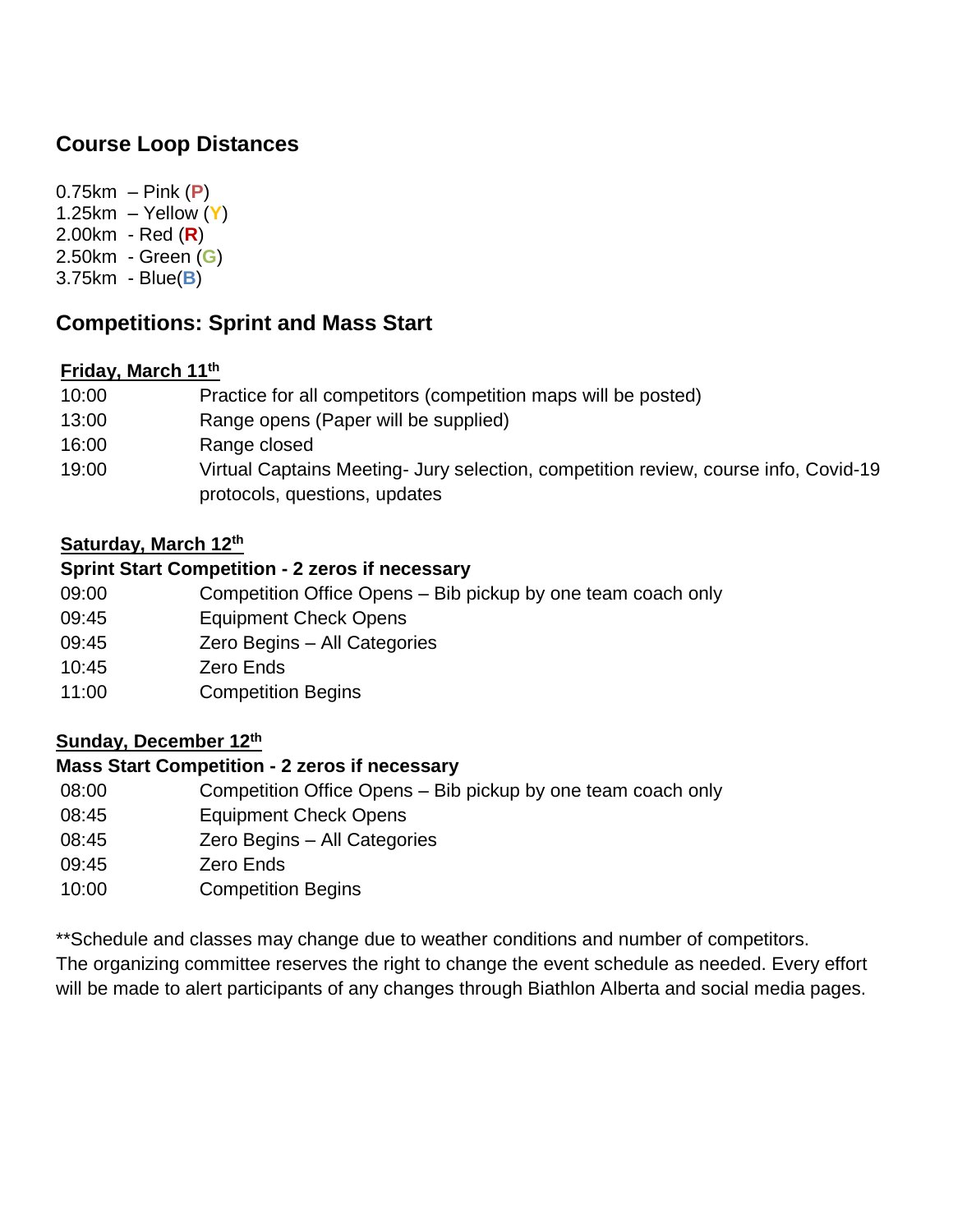## **Course Loop Distances**

0.75km – Pink (**P**) 1.25km – Yellow (**Y**) 2.00km - Red (**R**) 2.50km - Green (**G**) 3.75km - Blue(**B**)

# **Competitions: Sprint and Mass Start**

## **Friday, March 11th**

| 10:00 | Practice for all competitors (competition maps will be posted)                      |
|-------|-------------------------------------------------------------------------------------|
| 13:00 | Range opens (Paper will be supplied)                                                |
| 16:00 | Range closed                                                                        |
| 19:00 | Virtual Captains Meeting- Jury selection, competition review, course info, Covid-19 |
|       | protocols, questions, updates                                                       |

## **Saturday, March 12th**

#### **Sprint Start Competition - 2 zeros if necessary**

- 09:00 Competition Office Opens Bib pickup by one team coach only
- 09:45 Equipment Check Opens
- 09:45 Zero Begins All Categories
- 10:45 Zero Ends
- 11:00 Competition Begins

## **Sunday, December 12th**

## **Mass Start Competition - 2 zeros if necessary**

- 08:00 Competition Office Opens Bib pickup by one team coach only
- 08:45 Equipment Check Opens
- 08:45 Zero Begins All Categories
- 09:45 Zero Ends
- 10:00 Competition Begins

\*\*Schedule and classes may change due to weather conditions and number of competitors.

The organizing committee reserves the right to change the event schedule as needed. Every effort will be made to alert participants of any changes through Biathlon Alberta and social media pages.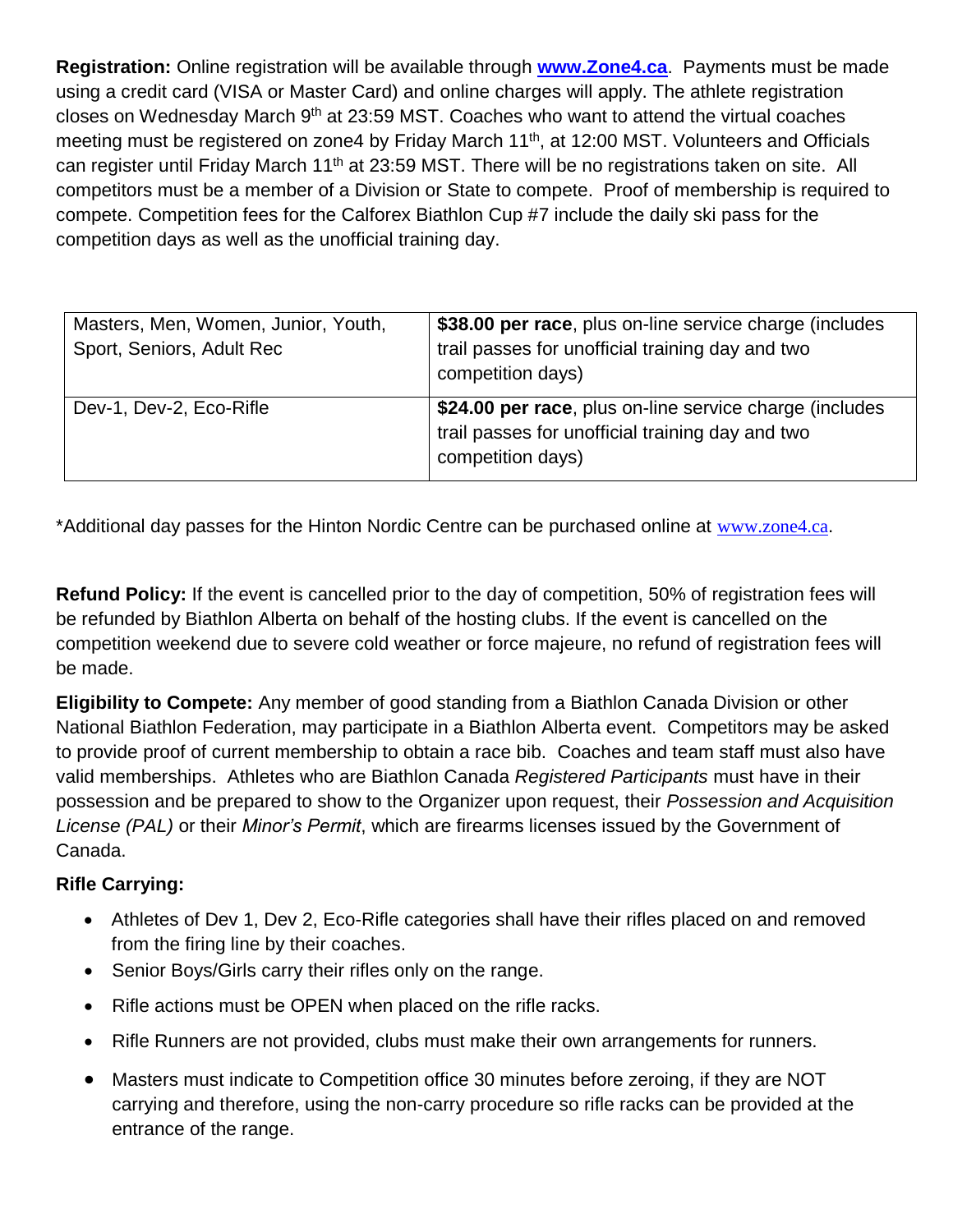**Registration:** Online registration will be available through **[www.Zone4.ca](http://www.zone4.ca/)**. Payments must be made using a credit card (VISA or Master Card) and online charges will apply. The athlete registration closes on Wednesday March 9<sup>th</sup> at 23:59 MST. Coaches who want to attend the virtual coaches meeting must be registered on zone4 by Friday March 11<sup>th</sup>, at 12:00 MST. Volunteers and Officials can register until Friday March 11<sup>th</sup> at 23:59 MST. There will be no registrations taken on site. All competitors must be a member of a Division or State to compete. Proof of membership is required to compete. Competition fees for the Calforex Biathlon Cup #7 include the daily ski pass for the competition days as well as the unofficial training day.

| Masters, Men, Women, Junior, Youth,<br>Sport, Seniors, Adult Rec | \$38.00 per race, plus on-line service charge (includes<br>trail passes for unofficial training day and two<br>competition days) |
|------------------------------------------------------------------|----------------------------------------------------------------------------------------------------------------------------------|
| Dev-1, Dev-2, Eco-Rifle                                          | \$24.00 per race, plus on-line service charge (includes<br>trail passes for unofficial training day and two<br>competition days) |

\*Additional day passes for the Hinton Nordic Centre can be purchased online at [www.zone4.ca](http://www.zone4.ca/).

**Refund Policy:** If the event is cancelled prior to the day of competition, 50% of registration fees will be refunded by Biathlon Alberta on behalf of the hosting clubs. If the event is cancelled on the competition weekend due to severe cold weather or force majeure, no refund of registration fees will be made.

**Eligibility to Compete:** Any member of good standing from a Biathlon Canada Division or other National Biathlon Federation, may participate in a Biathlon Alberta event. Competitors may be asked to provide proof of current membership to obtain a race bib. Coaches and team staff must also have valid memberships. Athletes who are Biathlon Canada *Registered Participants* must have in their possession and be prepared to show to the Organizer upon request, their *Possession and Acquisition License (PAL)* or their *Minor's Permit*, which are firearms licenses issued by the Government of Canada.

## **Rifle Carrying:**

- Athletes of Dev 1, Dev 2, Eco-Rifle categories shall have their rifles placed on and removed from the firing line by their coaches.
- Senior Boys/Girls carry their rifles only on the range.
- Rifle actions must be OPEN when placed on the rifle racks.
- Rifle Runners are not provided, clubs must make their own arrangements for runners.
- Masters must indicate to Competition office 30 minutes before zeroing, if they are NOT carrying and therefore, using the non-carry procedure so rifle racks can be provided at the entrance of the range.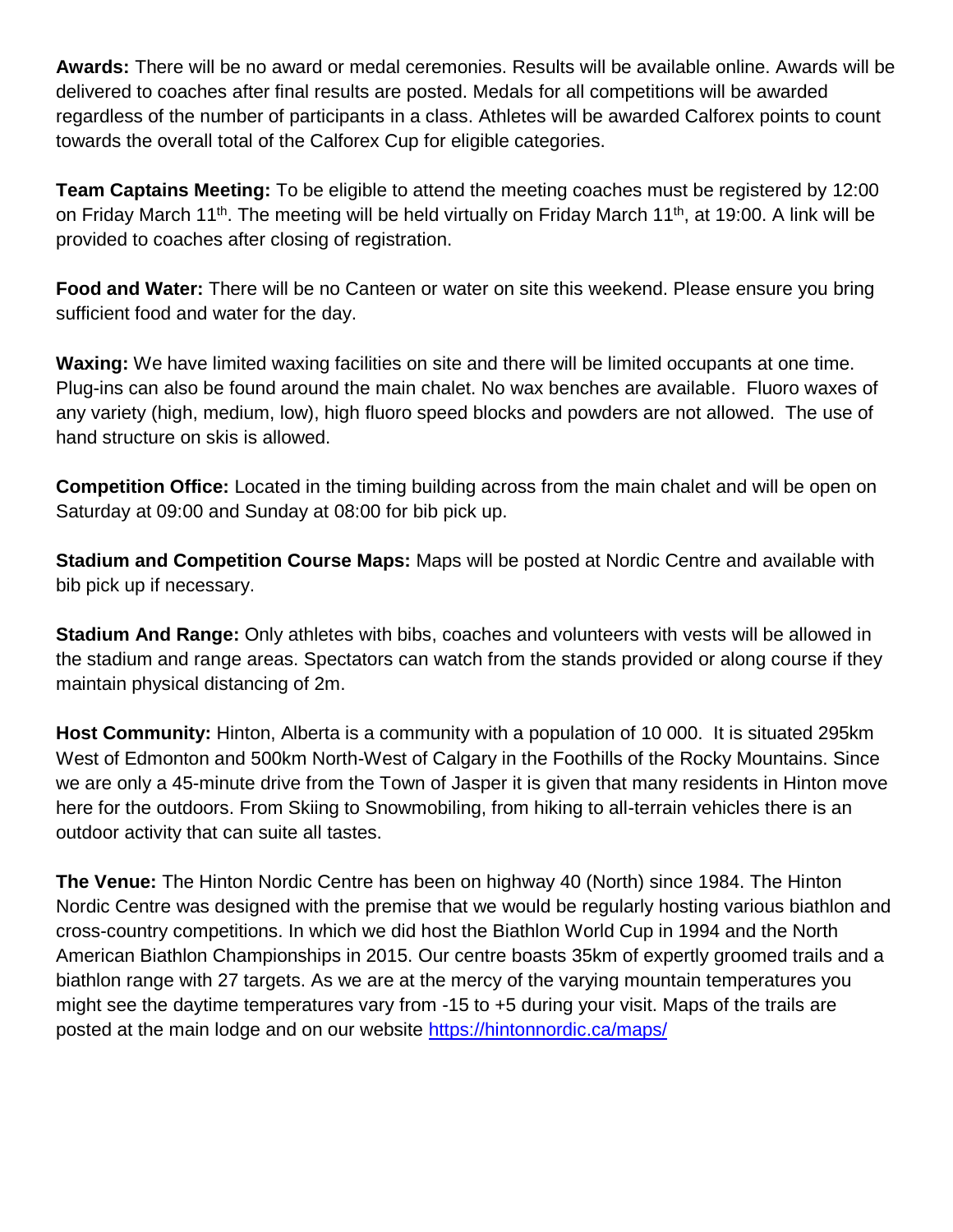**Awards:** There will be no award or medal ceremonies. Results will be available online. Awards will be delivered to coaches after final results are posted. Medals for all competitions will be awarded regardless of the number of participants in a class. Athletes will be awarded Calforex points to count towards the overall total of the Calforex Cup for eligible categories.

**Team Captains Meeting:** To be eligible to attend the meeting coaches must be registered by 12:00 on Friday March 11<sup>th</sup>. The meeting will be held virtually on Friday March 11<sup>th</sup>, at 19:00. A link will be provided to coaches after closing of registration.

**Food and Water:** There will be no Canteen or water on site this weekend. Please ensure you bring sufficient food and water for the day.

**Waxing:** We have limited waxing facilities on site and there will be limited occupants at one time. Plug-ins can also be found around the main chalet. No wax benches are available. Fluoro waxes of any variety (high, medium, low), high fluoro speed blocks and powders are not allowed. The use of hand structure on skis is allowed.

**Competition Office:** Located in the timing building across from the main chalet and will be open on Saturday at 09:00 and Sunday at 08:00 for bib pick up.

**Stadium and Competition Course Maps:** Maps will be posted at Nordic Centre and available with bib pick up if necessary.

**Stadium And Range:** Only athletes with bibs, coaches and volunteers with vests will be allowed in the stadium and range areas. Spectators can watch from the stands provided or along course if they maintain physical distancing of 2m.

**Host Community:** Hinton, Alberta is a community with a population of 10 000. It is situated 295km West of Edmonton and 500km North-West of Calgary in the Foothills of the Rocky Mountains. Since we are only a 45-minute drive from the Town of Jasper it is given that many residents in Hinton move here for the outdoors. From Skiing to Snowmobiling, from hiking to all-terrain vehicles there is an outdoor activity that can suite all tastes.

**The Venue:** The Hinton Nordic Centre has been on highway 40 (North) since 1984. The Hinton Nordic Centre was designed with the premise that we would be regularly hosting various biathlon and cross-country competitions. In which we did host the Biathlon World Cup in 1994 and the North American Biathlon Championships in 2015. Our centre boasts 35km of expertly groomed trails and a biathlon range with 27 targets. As we are at the mercy of the varying mountain temperatures you might see the daytime temperatures vary from -15 to +5 during your visit. Maps of the trails are posted at the main lodge and on our website<https://hintonnordic.ca/maps/>